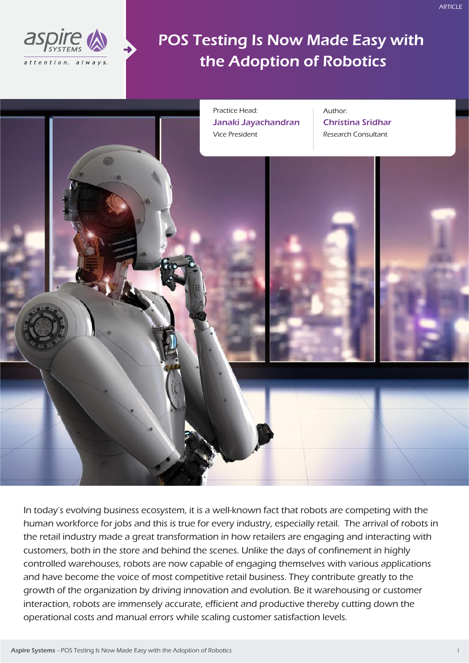

POS Testing Is Now Made Easy with the Adoption of Robotics



In today's evolving business ecosystem, it is a well-known fact that robots are competing with the human workforce for jobs and this is true for every industry, especially retail. The arrival of robots in the retail industry made a great transformation in how retailers are engaging and interacting with customers, both in the store and behind the scenes. Unlike the days of confinement in highly controlled warehouses, robots are now capable of engaging themselves with various applications and have become the voice of most competitive retail business. They contribute greatly to the growth of the organization by driving innovation and evolution. Be it warehousing or customer interaction, robots are immensely accurate, efficient and productive thereby cutting down the operational costs and manual errors while scaling customer satisfaction levels.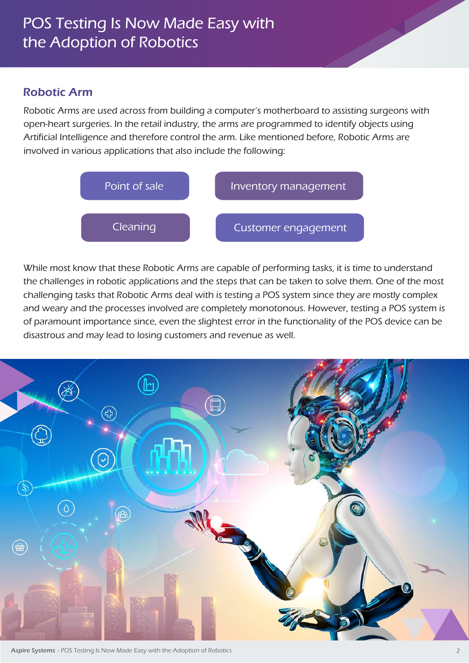## Robotic Arm

Robotic Arms are used across from building a computer's motherboard to assisting surgeons with open-heart surgeries. In the retail industry, the arms are programmed to identify objects using Artificial Intelligence and therefore control the arm. Like mentioned before, Robotic Arms are involved in various applications that also include the following:



While most know that these Robotic Arms are capable of performing tasks, it is time to understand the challenges in robotic applications and the steps that can be taken to solve them. One of the most challenging tasks that Robotic Arms deal with is testing a POS system since they are mostly complex and weary and the processes involved are completely monotonous. However, testing a POS system is of paramount importance since, even the slightest error in the functionality of the POS device can be disastrous and may lead to losing customers and revenue as well.



Aspire Systems - POS Testing Is Now Made Easy with the Adoption of Robotics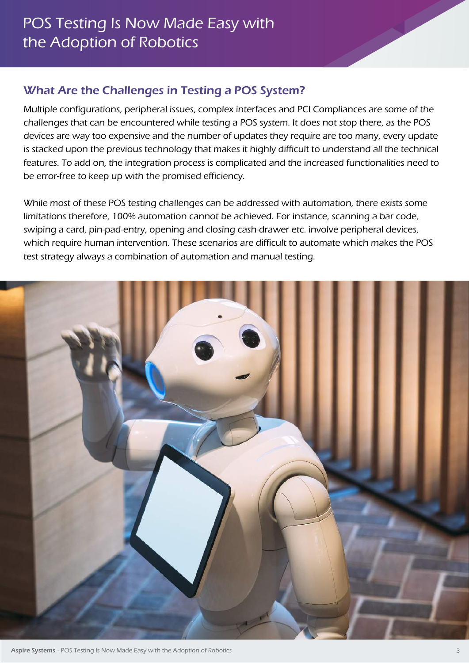# What Are the Challenges in Testing a POS System?

Multiple configurations, peripheral issues, complex interfaces and PCI Compliances are some of the challenges that can be encountered while testing a POS system. It does not stop there, as the POS devices are way too expensive and the number of updates they require are too many, every update is stacked upon the previous technology that makes it highly difficult to understand all the technical features. To add on, the integration process is complicated and the increased functionalities need to be error-free to keep up with the promised efficiency.

While most of these POS testing challenges can be addressed with automation, there exists some limitations therefore, 100% automation cannot be achieved. For instance, scanning a bar code, swiping a card, pin-pad-entry, opening and closing cash-drawer etc. involve peripheral devices, which require human intervention. These scenarios are difficult to automate which makes the POS test strategy always a combination of automation and manual testing.

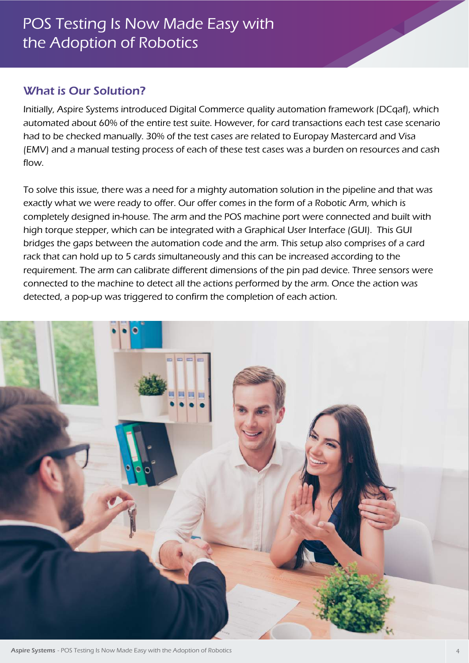# What is Our Solution?

Initially, Aspire Systems introduced Digital Commerce quality automation framework (DCqaf), which automated about 60% of the entire test suite. However, for card transactions each test case scenario had to be checked manually. 30% of the test cases are related to Europay Mastercard and Visa (EMV) and a manual testing process of each of these test cases was a burden on resources and cash flow.

To solve this issue, there was a need for a mighty automation solution in the pipeline and that was exactly what we were ready to offer. Our offer comes in the form of a Robotic Arm, which is completely designed in-house. The arm and the POS machine port were connected and built with high torque stepper, which can be integrated with a Graphical User Interface (GUI). This GUI bridges the gaps between the automation code and the arm. This setup also comprises of a card rack that can hold up to 5 cards simultaneously and this can be increased according to the requirement. The arm can calibrate different dimensions of the pin pad device. Three sensors were connected to the machine to detect all the actions performed by the arm. Once the action was detected, a pop-up was triggered to confirm the completion of each action.



Aspire Systems - POS Testing Is Now Made Easy with the Adoption of Robotics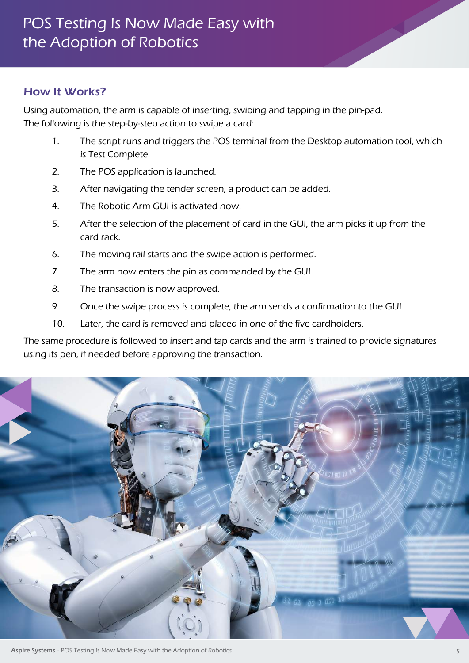#### How It Works?

Using automation, the arm is capable of inserting, swiping and tapping in the pin-pad. The following is the step-by-step action to swipe a card:

- 1. The script runs and triggers the POS terminal from the Desktop automation tool, which is Test Complete.
- 2. The POS application is launched.
- 3. After navigating the tender screen, a product can be added.
- 4. The Robotic Arm GUI is activated now.
- 5. After the selection of the placement of card in the GUI, the arm picks it up from the card rack.
- 6. The moving rail starts and the swipe action is performed.
- 7. The arm now enters the pin as commanded by the GUI.
- 8. The transaction is now approved.
- 9. Once the swipe process is complete, the arm sends a confirmation to the GUI.
- 10. Later, the card is removed and placed in one of the five cardholders.

The same procedure is followed to insert and tap cards and the arm is trained to provide signatures using its pen, if needed before approving the transaction.



Aspire Systems - POS Testing Is Now Made Easy with the Adoption of Robotics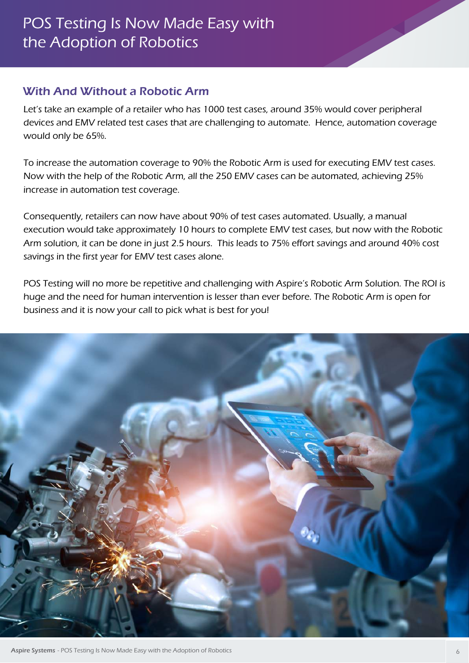## With And Without a Robotic Arm

Let's take an example of a retailer who has 1000 test cases, around 35% would cover peripheral devices and EMV related test cases that are challenging to automate. Hence, automation coverage would only be 65%.

To increase the automation coverage to 90% the Robotic Arm is used for executing EMV test cases. Now with the help of the Robotic Arm, all the 250 EMV cases can be automated, achieving 25% increase in automation test coverage.

Consequently, retailers can now have about 90% of test cases automated. Usually, a manual execution would take approximately 10 hours to complete EMV test cases, but now with the Robotic Arm solution, it can be done in just 2.5 hours. This leads to 75% effort savings and around 40% cost savings in the first year for EMV test cases alone.

POS Testing will no more be repetitive and challenging with Aspire's Robotic Arm Solution. The ROI is huge and the need for human intervention is lesser than ever before. The Robotic Arm is open for business and it is now your call to pick what is best for you!